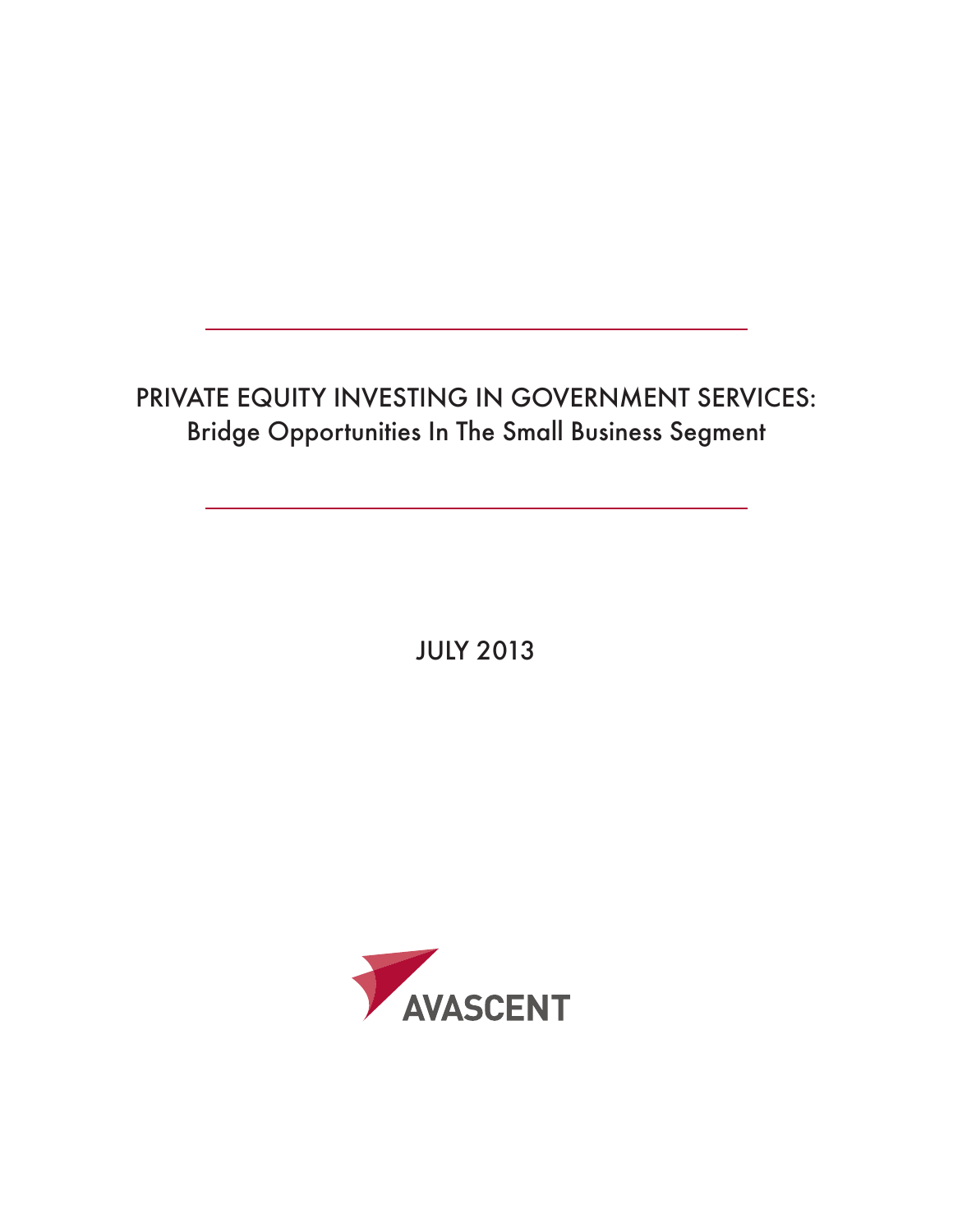# Private Equity Investing In Government Services: Bridge Opportunities In The Small Business Segment

JULY 2013

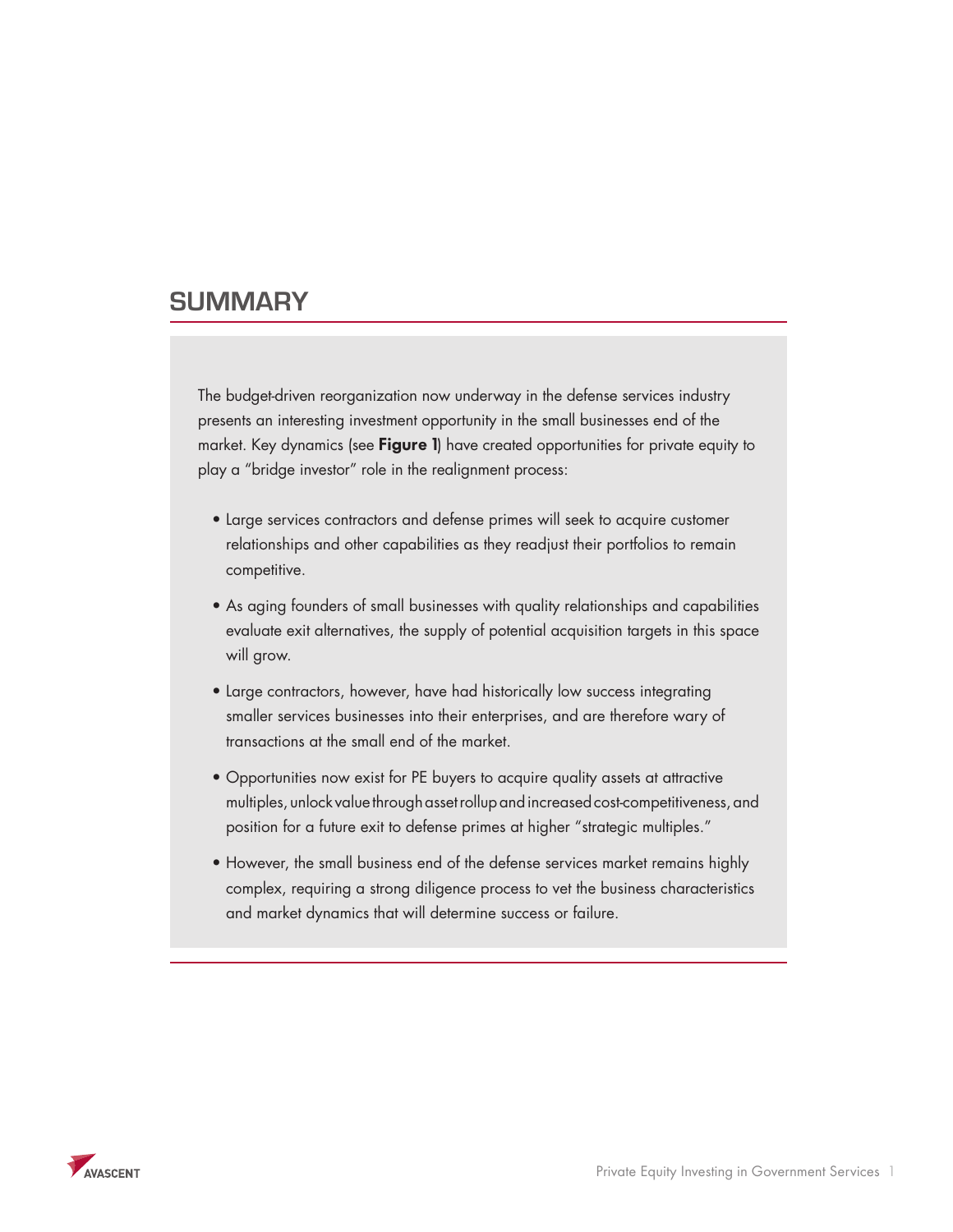## **Summary**

The budget-driven reorganization now underway in the defense services industry presents an interesting investment opportunity in the small businesses end of the market. Key dynamics (see **Figure 1**) have created opportunities for private equity to play a "bridge investor" role in the realignment process:

- Large services contractors and defense primes will seek to acquire customer relationships and other capabilities as they readjust their portfolios to remain competitive.
- As aging founders of small businesses with quality relationships and capabilities evaluate exit alternatives, the supply of potential acquisition targets in this space will grow.
- Large contractors, however, have had historically low success integrating smaller services businesses into their enterprises, and are therefore wary of transactions at the small end of the market.
- • Opportunities now exist for PE buyers to acquire quality assets at attractive multiples, unlock value through asset rollup and increased cost-competitiveness, and position for a future exit to defense primes at higher "strategic multiples."
- However, the small business end of the defense services market remains highly complex, requiring a strong diligence process to vet the business characteristics and market dynamics that will determine success or failure.

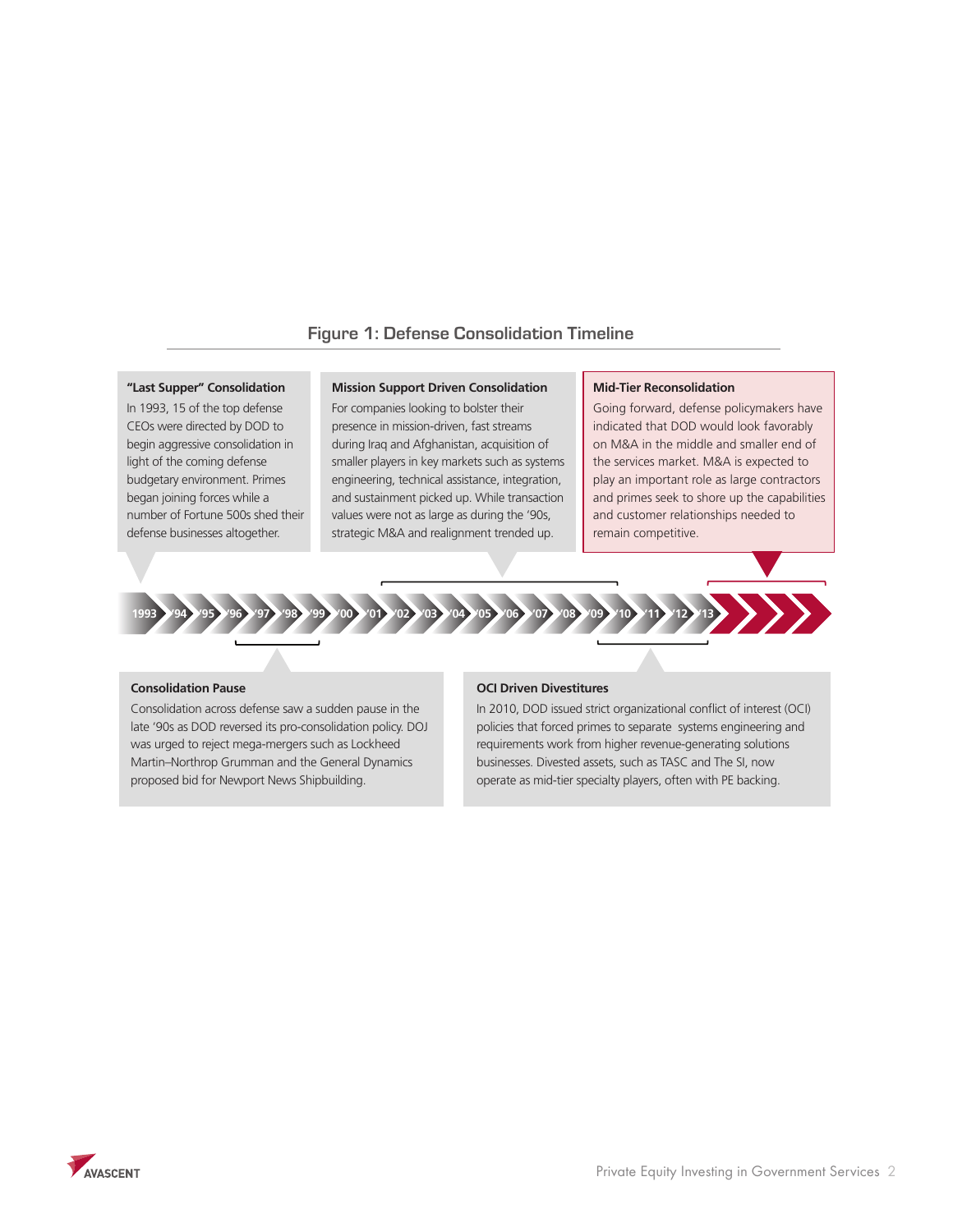## **Figure 1: Defense Consolidation Timeline**

#### **"Last Supper" Consolidation**

In 1993, 15 of the top defense CEOs were directed by DOD to begin aggressive consolidation in light of the coming defense budgetary environment. Primes began joining forces while a number of Fortune 500s shed their defense businesses altogether.

#### **Mission Support Driven Consolidation**

For companies looking to bolster their presence in mission-driven, fast streams during Iraq and Afghanistan, acquisition of smaller players in key markets such as systems engineering, technical assistance, integration, and sustainment picked up. While transaction values were not as large as during the '90s, strategic M&A and realignment trended up.

#### **Mid-Tier Reconsolidation**

Going forward, defense policymakers have indicated that DOD would look favorably on M&A in the middle and smaller end of the services market. M&A is expected to play an important role as large contractors and primes seek to shore up the capabilities and customer relationships needed to remain competitive.



#### **Consolidation Pause**

Consolidation across defense saw a sudden pause in the late '90s as DOD reversed its pro-consolidation policy. DOJ was urged to reject mega-mergers such as Lockheed Martin–Northrop Grumman and the General Dynamics proposed bid for Newport News Shipbuilding.

### **OCI Driven Divestitures**

In 2010, DOD issued strict organizational conflict of interest (OCI) policies that forced primes to separate systems engineering and requirements work from higher revenue-generating solutions businesses. Divested assets, such as TASC and The SI, now operate as mid-tier specialty players, often with PE backing.

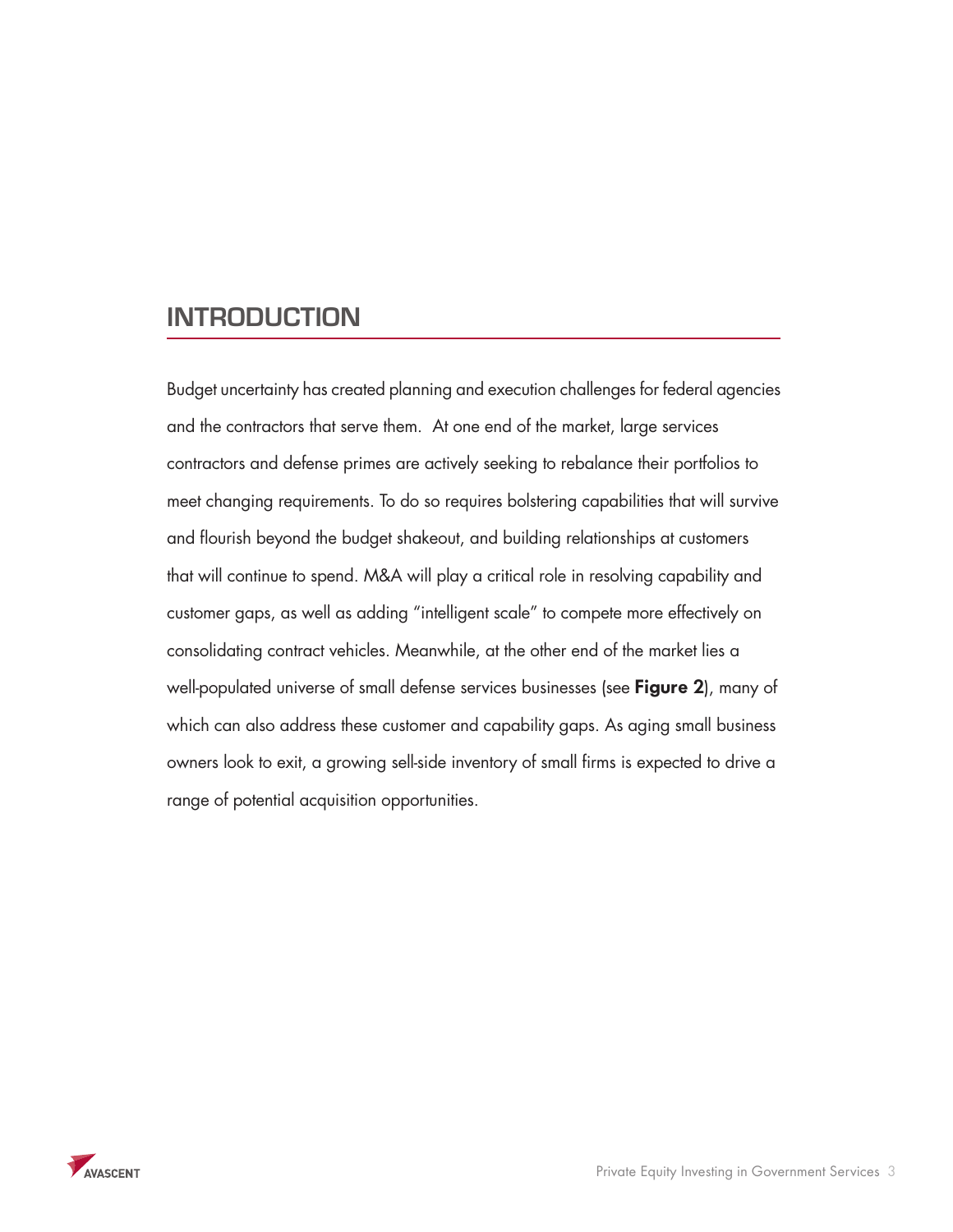# **INTRODUCTION**

Budget uncertainty has created planning and execution challenges for federal agencies and the contractors that serve them. At one end of the market, large services contractors and defense primes are actively seeking to rebalance their portfolios to meet changing requirements. To do so requires bolstering capabilities that will survive and flourish beyond the budget shakeout, and building relationships at customers that will continue to spend. M&A will play a critical role in resolving capability and customer gaps, as well as adding "intelligent scale" to compete more effectively on consolidating contract vehicles. Meanwhile, at the other end of the market lies a well-populated universe of small defense services businesses (see **Figure 2**), many of which can also address these customer and capability gaps. As aging small business owners look to exit, a growing sell-side inventory of small firms is expected to drive a range of potential acquisition opportunities.

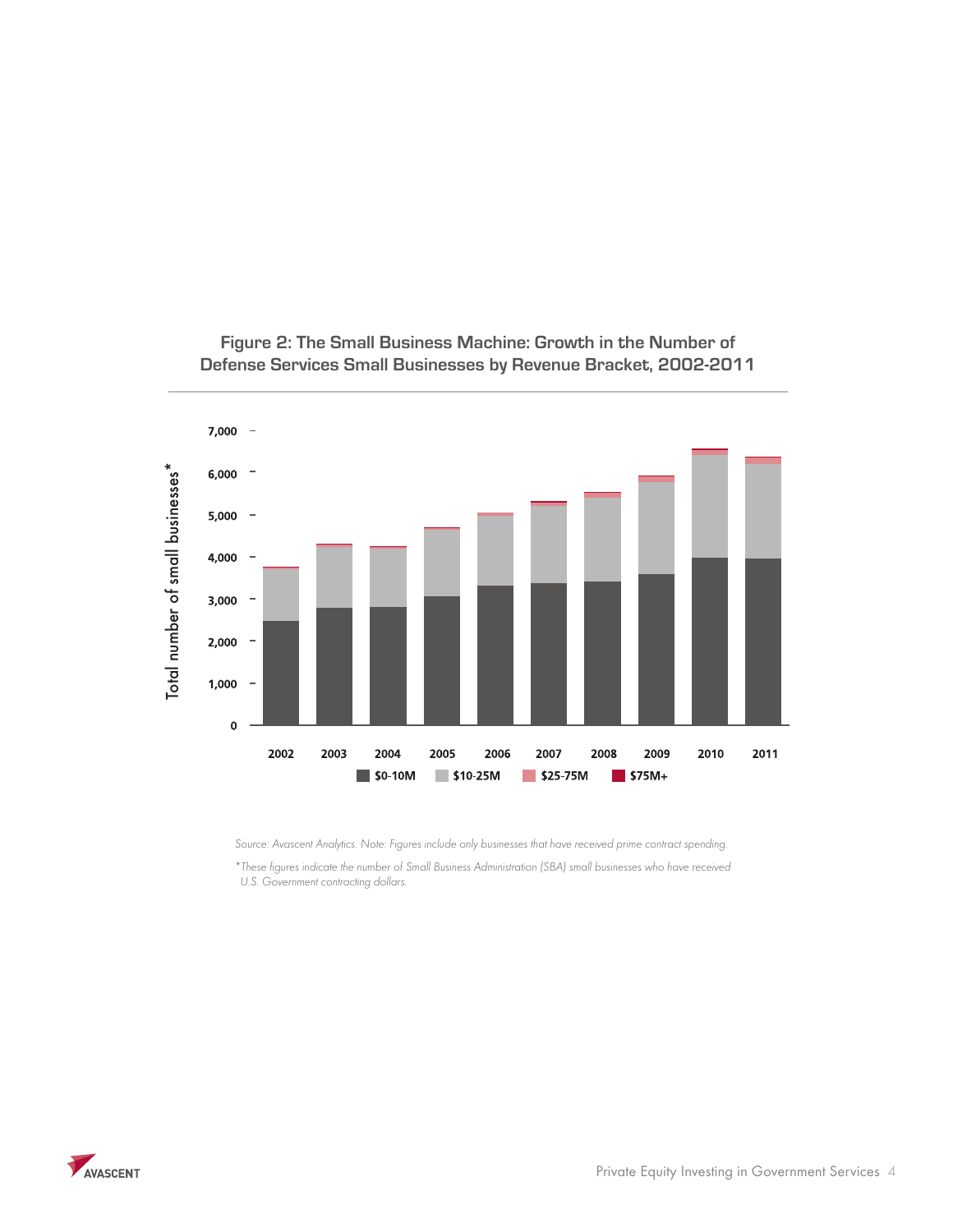

**Figure 2: The Small Business Machine: Growth in the Number of Defense Services Small Businesses by Revenue Bracket, 2002-2011**

*Source: Avascent Analytics. Note: Figures include only businesses that have received prime contract spending.*

*\*These figures indicate the number of Small Business Administration (SBA) small businesses who have received U.S. Government contracting dollars.*

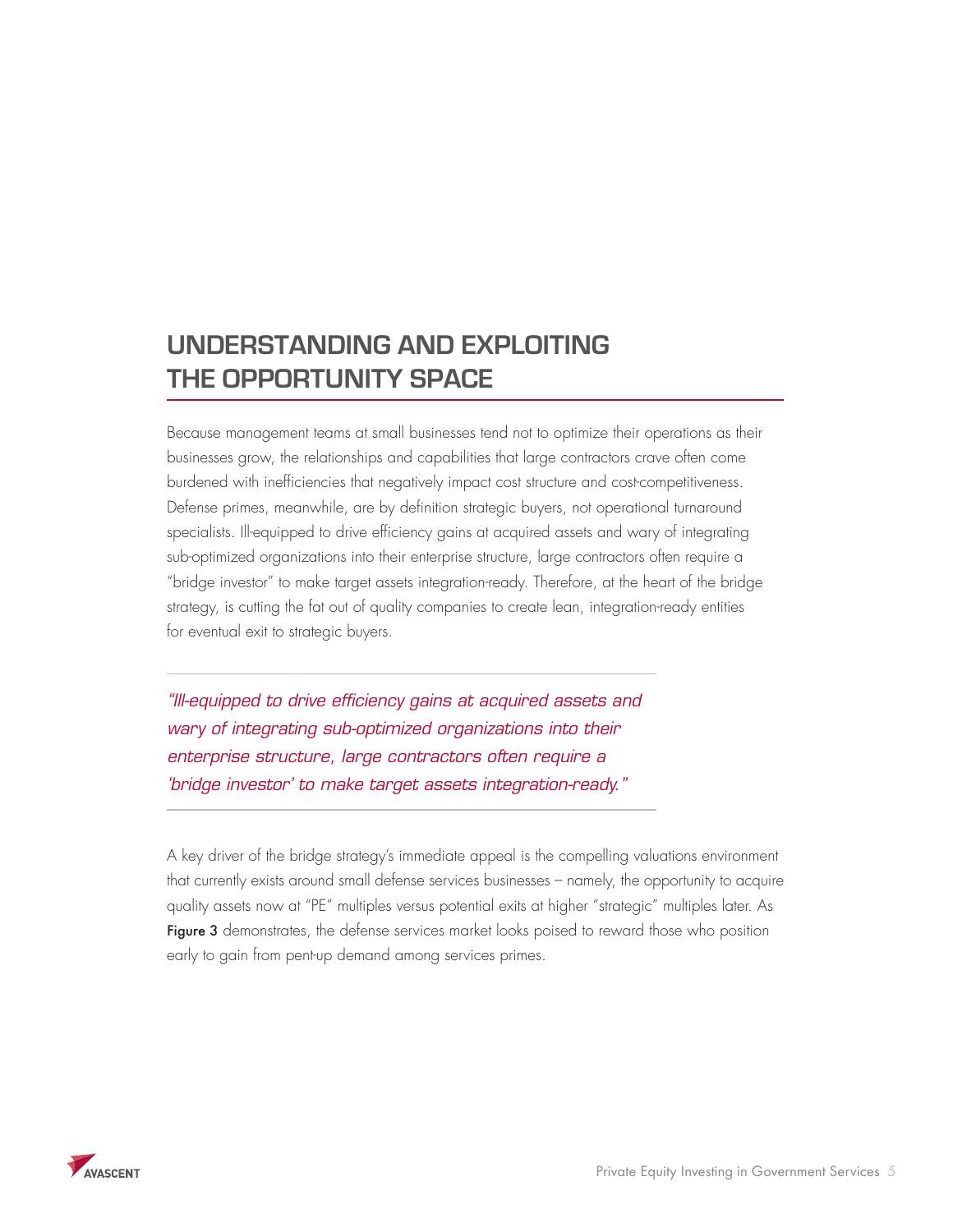# **Understanding and Exploiting the Opportunity Space**

Because management teams at small businesses tend not to optimize their operations as their businesses grow, the relationships and capabilities that large contractors crave often come burdened with inefficiencies that negatively impact cost structure and cost-competitiveness. Defense primes, meanwhile, are by definition strategic buyers, not operational turnaround specialists. Ill-equipped to drive efficiency gains at acquired assets and wary of integrating sub-optimized organizations into their enterprise structure, large contractors often require a "bridge investor" to make target assets integration-ready. Therefore, at the heart of the bridge strategy, is cutting the fat out of quality companies to create lean, integration-ready entities for eventual exit to strategic buyers.

*"Ill-equipped to drive efficiency gains at acquired assets and wary of integrating sub-optimized organizations into their enterprise structure, large contractors often require a 'bridge investor' to make target assets integration-ready."*

A key driver of the bridge strategy's immediate appeal is the compelling valuations environment that currently exists around small defense services businesses – namely, the opportunity to acquire quality assets now at "PE" multiples versus potential exits at higher "strategic" multiples later. As Figure 3 demonstrates, the defense services market looks poised to reward those who position early to gain from pent-up demand among services primes.

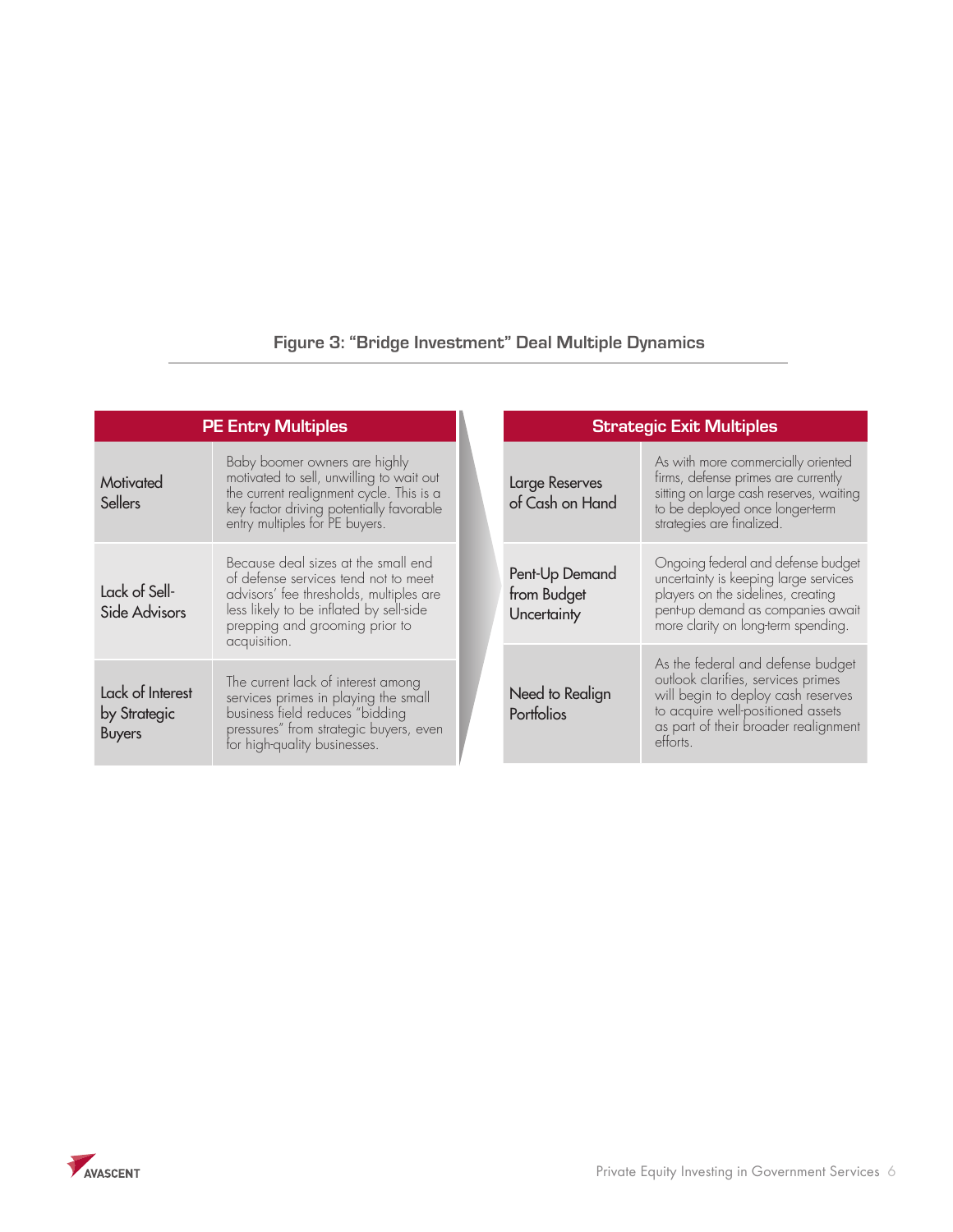## **Figure 3: "Bridge Investment" Deal Multiple Dynamics**

| <b>PE Entry Multiples</b>                         |                                                                                                                                                                                                                     |  |                                              | <b>Strategic Exit Multiples</b>                                                                                                                                                                        |  |
|---------------------------------------------------|---------------------------------------------------------------------------------------------------------------------------------------------------------------------------------------------------------------------|--|----------------------------------------------|--------------------------------------------------------------------------------------------------------------------------------------------------------------------------------------------------------|--|
| Motivated<br>Sellers                              | Baby boomer owners are highly<br>motivated to sell, unwilling to wait out<br>the current realignment cycle. This is a<br>key factor driving potentially favorable<br>entry multiples for PE buyers.                 |  | Large Reserves<br>of Cash on Hand            | As with more commercially oriented<br>firms, defense primes are currently<br>sitting on large cash reserves, waiting<br>to be deployed once longer-term<br>strategies are finalized.                   |  |
| Lack of Sell-<br>Side Advisors                    | Because deal sizes at the small end<br>of defense services tend not to meet<br>advisors' fee thresholds, multiples are<br>less likely to be inflated by sell-side<br>prepping and grooming prior to<br>acquisition. |  | Pent-Up Demand<br>from Budget<br>Uncertainty | Ongoing federal and defense budget<br>uncertainty is keeping large services<br>players on the sidelines, creating<br>pent-up demand as companies await<br>more clarity on long-term spending.          |  |
| Lack of Interest<br>by Strategic<br><b>Buyers</b> | The current lack of interest among<br>services primes in playing the small<br>business field reduces "bidding<br>pressures" from strategic buyers, even<br>for high-quality businesses.                             |  | Need to Realign<br>Portfolios                | As the federal and defense budget<br>outlook clarifies, services primes<br>will begin to deploy cash reserves<br>to acquire well-positioned assets<br>as part of their broader realignment<br>efforts. |  |

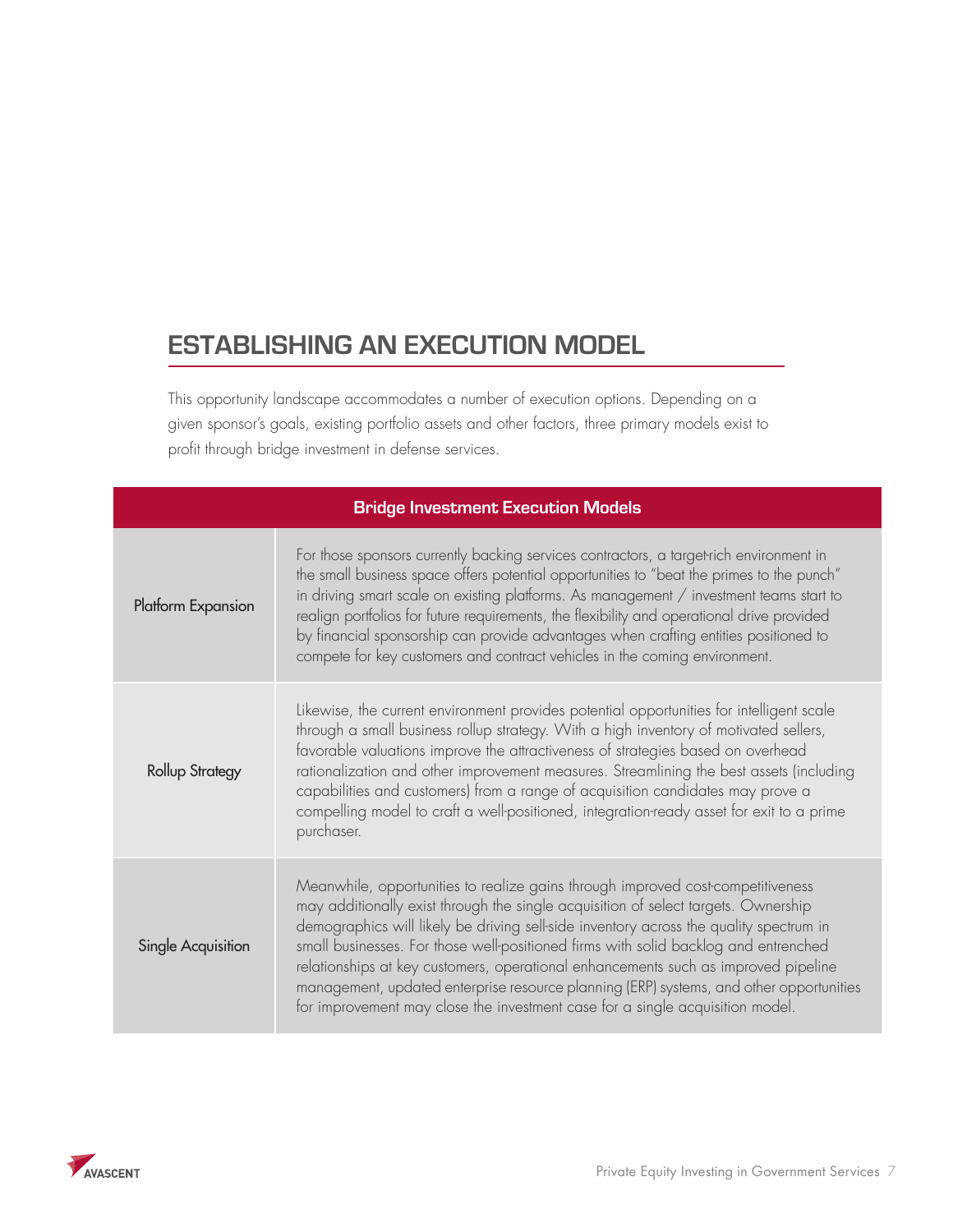# **Establishing an Execution Model**

This opportunity landscape accommodates a number of execution options. Depending on a given sponsor's goals, existing portfolio assets and other factors, three primary models exist to profit through bridge investment in defense services.

| <b>Bridge Investment Execution Models</b> |                                                                                                                                                                                                                                                                                                                                                                                                                                                                                                                                                                                                                          |  |  |
|-------------------------------------------|--------------------------------------------------------------------------------------------------------------------------------------------------------------------------------------------------------------------------------------------------------------------------------------------------------------------------------------------------------------------------------------------------------------------------------------------------------------------------------------------------------------------------------------------------------------------------------------------------------------------------|--|--|
| Platform Expansion                        | For those sponsors currently backing services contractors, a target-rich environment in<br>the small business space offers potential opportunities to "beat the primes to the punch"<br>in driving smart scale on existing platforms. As management / investment teams start to<br>realign portfolios for future requirements, the flexibility and operational drive provided<br>by financial sponsorship can provide advantages when crafting entities positioned to<br>compete for key customers and contract vehicles in the coming environment.                                                                      |  |  |
| <b>Rollup Strategy</b>                    | Likewise, the current environment provides potential opportunities for intelligent scale<br>through a small business rollup strategy. With a high inventory of motivated sellers,<br>favorable valuations improve the attractiveness of strategies based on overhead<br>rationalization and other improvement measures. Streamlining the best assets (including<br>capabilities and customers) from a range of acquisition candidates may prove a<br>compelling model to craft a well-positioned, integration-ready asset for exit to a prime<br>purchaser.                                                              |  |  |
| Single Acquisition                        | Meanwhile, opportunities to realize gains through improved cost-competitiveness<br>may additionally exist through the single acquisition of select targets. Ownership<br>demographics will likely be driving sell-side inventory across the quality spectrum in<br>small businesses. For those well-positioned firms with solid backlog and entrenched<br>relationships at key customers, operational enhancements such as improved pipeline<br>management, updated enterprise resource planning (ERP) systems, and other opportunities<br>for improvement may close the investment case for a single acquisition model. |  |  |

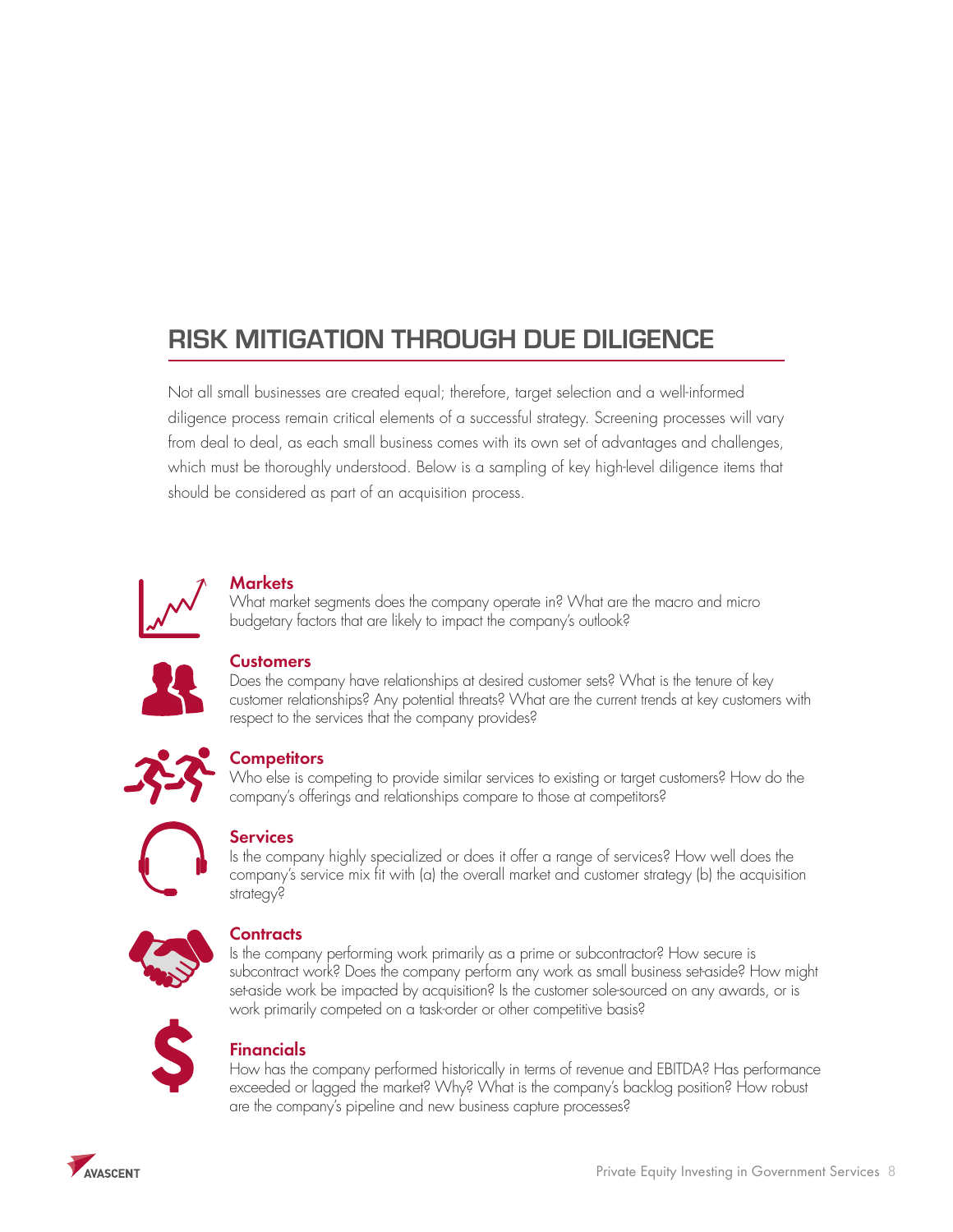# **Risk Mitigation through Due Diligence**

Not all small businesses are created equal; therefore, target selection and a well-informed diligence process remain critical elements of a successful strategy. Screening processes will vary from deal to deal, as each small business comes with its own set of advantages and challenges, which must be thoroughly understood. Below is a sampling of key high-level diligence items that should be considered as part of an acquisition process.



## **Markets**

What market segments does the company operate in? What are the macro and micro budgetary factors that are likely to impact the company's outlook?



### **Customers**

Does the company have relationships at desired customer sets? What is the tenure of key customer relationships? Any potential threats? What are the current trends at key customers with respect to the services that the company provides?



## **Competitors**

Who else is competing to provide similar services to existing or target customers? How do the company's offerings and relationships compare to those at competitors?



## **Services**

Is the company highly specialized or does it offer a range of services? How well does the company's service mix fit with (a) the overall market and customer strategy (b) the acquisition strategy?



## **Contracts**

Is the company performing work primarily as a prime or subcontractor? How secure is subcontract work? Does the company perform any work as small business set-aside? How might set-aside work be impacted by acquisition? Is the customer sole-sourced on any awards, or is work primarily competed on a task-order or other competitive basis?



## Financials

How has the company performed historically in terms of revenue and EBITDA? Has performance exceeded or lagged the market? Why? What is the company's backlog position? How robust are the company's pipeline and new business capture processes?

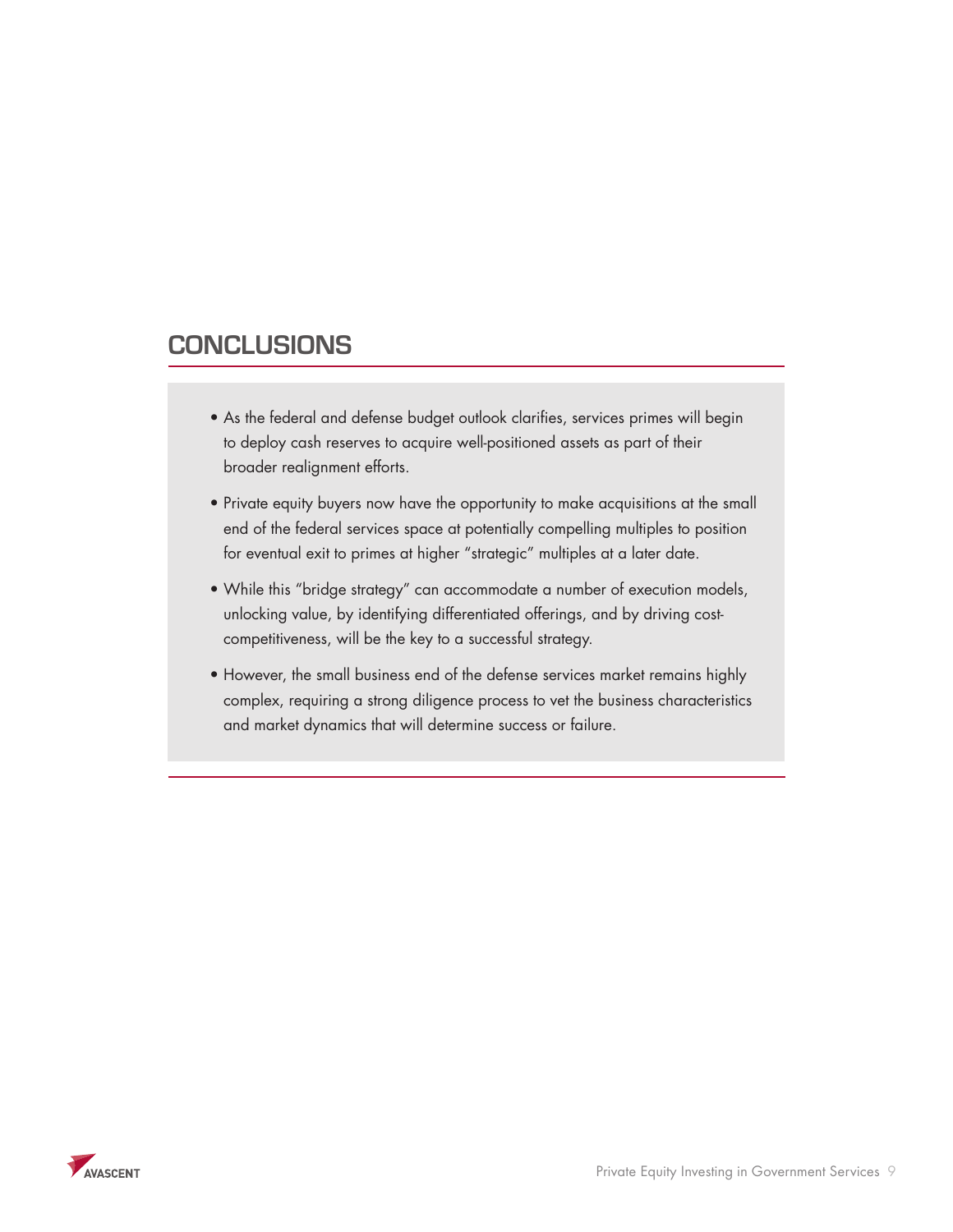## **Conclusions**

- $\bullet$  As the federal and defense budget outlook clarifies, services primes will begin  $\mathbf{P}_\text{max} = \mathbf{P}_\text{max} = \mathbf{P}_\text{max}$  and the opportunity to make accuracy to make accuracy to make acquisitions at the small end of the small end of the small end of the small end of the small end of the small end of the defense services space at potentially compelling multiples to position for eventual exit to to deploy cash reserves to acquire well-positioned assets as part of their broader realignment efforts.
- $\bullet$  Private equity buyers now have the opportunity to make acquisitions at the small end of the federal services space at potentially compelling multiples to position and it is not the federal services space at potentially compelling multiples to position for eventual exit to primes at higher "strategic" multiples at a later date.
- $\bullet$  While this "bridge strategy" can accommodate a number of execution models, unlocking value, by identifying differentiated offerings, and by driving costcompetitiveness, will be the key to a successful strategy.
	- However, the small business end of the defense services market remains highly complex, requiring a strong diligence process to vet the business characteristics and market dynamics that will determine success or failure.

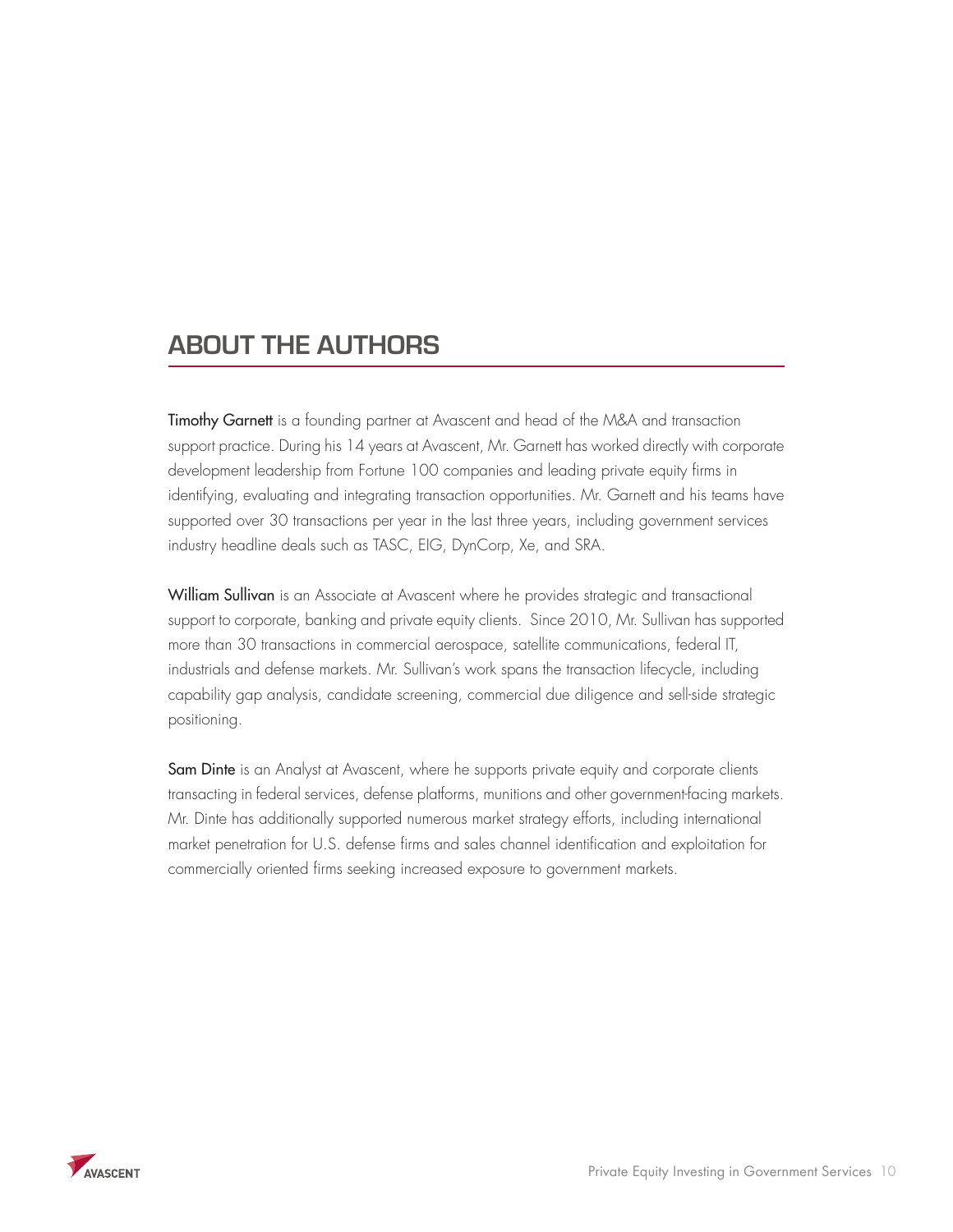# **ABOUT THE AUTHORS**

Timothy Garnett is a founding partner at Avascent and head of the M&A and transaction support practice. During his 14 years at Avascent, Mr. Garnett has worked directly with corporate development leadership from Fortune 100 companies and leading private equity firms in identifying, evaluating and integrating transaction opportunities. Mr. Garnett and his teams have supported over 30 transactions per year in the last three years, including government services industry headline deals such as TASC, EIG, DynCorp, Xe, and SRA.

William Sullivan is an Associate at Avascent where he provides strategic and transactional support to corporate, banking and private equity clients. Since 2010, Mr. Sullivan has supported more than 30 transactions in commercial aerospace, satellite communications, federal IT, industrials and defense markets. Mr. Sullivan's work spans the transaction lifecycle, including capability gap analysis, candidate screening, commercial due diligence and sell-side strategic positioning.

Sam Dinte is an Analyst at Avascent, where he supports private equity and corporate clients transacting in federal services, defense platforms, munitions and other government-facing markets. Mr. Dinte has additionally supported numerous market strategy efforts, including international market penetration for U.S. defense firms and sales channel identification and exploitation for commercially oriented firms seeking increased exposure to government markets.